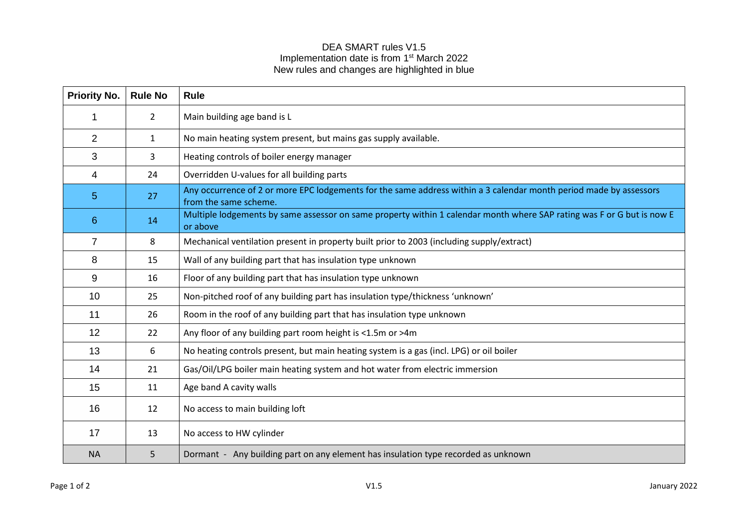## DEA SMART rules V1.5 Implementation date is from 1<sup>st</sup> March 2022 New rules and changes are highlighted in blue

| <b>Priority No.</b> | <b>Rule No</b> | <b>Rule</b>                                                                                                                                 |
|---------------------|----------------|---------------------------------------------------------------------------------------------------------------------------------------------|
|                     | $\overline{2}$ | Main building age band is L                                                                                                                 |
| $\overline{2}$      | $\mathbf{1}$   | No main heating system present, but mains gas supply available.                                                                             |
| 3                   | 3              | Heating controls of boiler energy manager                                                                                                   |
| 4                   | 24             | Overridden U-values for all building parts                                                                                                  |
| 5 <sub>5</sub>      | 27             | Any occurrence of 2 or more EPC lodgements for the same address within a 3 calendar month period made by assessors<br>from the same scheme. |
| 6                   | 14             | Multiple lodgements by same assessor on same property within 1 calendar month where SAP rating was F or G but is now E<br>or above          |
| $\overline{7}$      | 8              | Mechanical ventilation present in property built prior to 2003 (including supply/extract)                                                   |
| 8                   | 15             | Wall of any building part that has insulation type unknown                                                                                  |
| 9                   | 16             | Floor of any building part that has insulation type unknown                                                                                 |
| 10                  | 25             | Non-pitched roof of any building part has insulation type/thickness 'unknown'                                                               |
| 11                  | 26             | Room in the roof of any building part that has insulation type unknown                                                                      |
| 12 <sup>2</sup>     | 22             | Any floor of any building part room height is <1.5m or >4m                                                                                  |
| 13                  | 6              | No heating controls present, but main heating system is a gas (incl. LPG) or oil boiler                                                     |
| 14                  | 21             | Gas/Oil/LPG boiler main heating system and hot water from electric immersion                                                                |
| 15                  | 11             | Age band A cavity walls                                                                                                                     |
| 16                  | 12             | No access to main building loft                                                                                                             |
| 17                  | 13             | No access to HW cylinder                                                                                                                    |
| <b>NA</b>           | 5.             | Dormant - Any building part on any element has insulation type recorded as unknown                                                          |